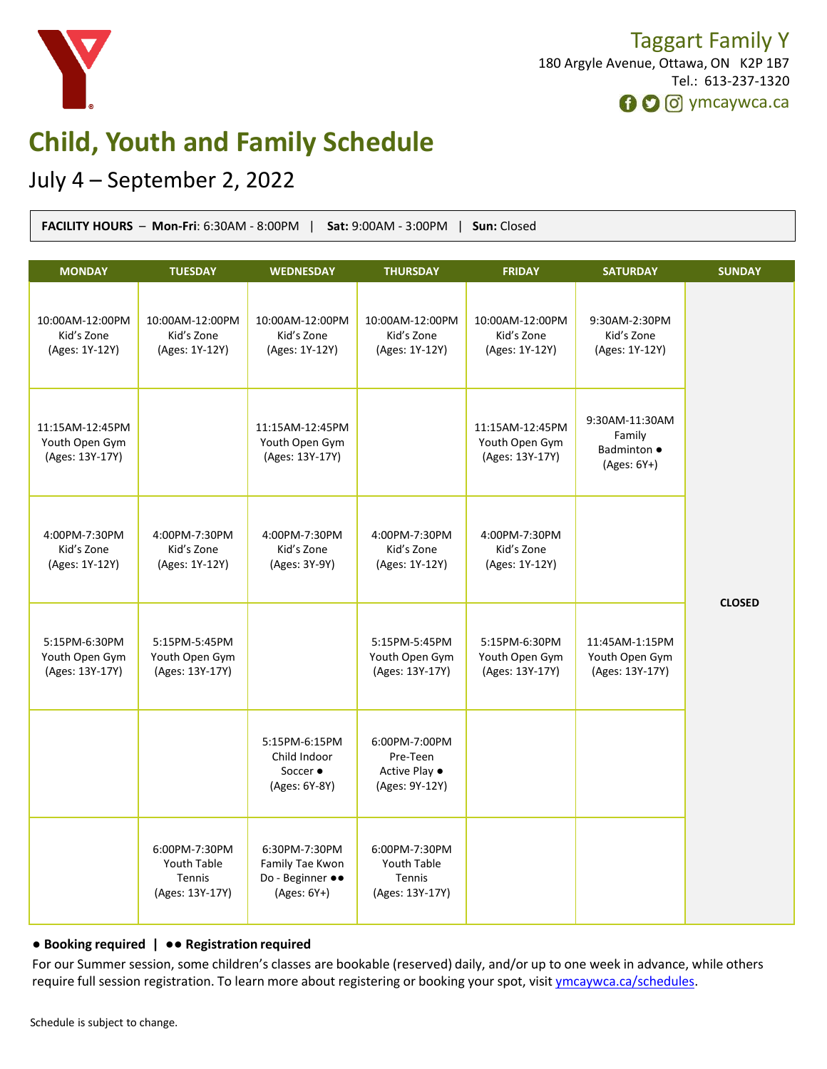

# **Child, Youth and Family Schedule**

### July 4 – September 2, 2022

| FACILITY HOURS - Mon-Fri: 6:30AM - 8:00PM<br>Sat: 9:00AM - 3:00PM<br>Sun: Closed |                                                           |                                                                       |                                                              |                                                      |                                                          |               |
|----------------------------------------------------------------------------------|-----------------------------------------------------------|-----------------------------------------------------------------------|--------------------------------------------------------------|------------------------------------------------------|----------------------------------------------------------|---------------|
| <b>MONDAY</b>                                                                    | <b>TUESDAY</b>                                            | <b>WEDNESDAY</b>                                                      | <b>THURSDAY</b>                                              | <b>FRIDAY</b>                                        | <b>SATURDAY</b>                                          | <b>SUNDAY</b> |
| 10:00AM-12:00PM<br>Kid's Zone<br>(Ages: 1Y-12Y)                                  | 10:00AM-12:00PM<br>Kid's Zone<br>(Ages: 1Y-12Y)           | 10:00AM-12:00PM<br>Kid's Zone<br>(Ages: 1Y-12Y)                       | 10:00AM-12:00PM<br>Kid's Zone<br>(Ages: 1Y-12Y)              | 10:00AM-12:00PM<br>Kid's Zone<br>(Ages: 1Y-12Y)      | 9:30AM-2:30PM<br>Kid's Zone<br>(Ages: 1Y-12Y)            | <b>CLOSED</b> |
| 11:15AM-12:45PM<br>Youth Open Gym<br>(Ages: 13Y-17Y)                             |                                                           | 11:15AM-12:45PM<br>Youth Open Gym<br>(Ages: 13Y-17Y)                  |                                                              | 11:15AM-12:45PM<br>Youth Open Gym<br>(Ages: 13Y-17Y) | 9:30AM-11:30AM<br>Family<br>Badminton •<br>$(Ages: 6Y+)$ |               |
| 4:00PM-7:30PM<br>Kid's Zone<br>(Ages: 1Y-12Y)                                    | 4:00PM-7:30PM<br>Kid's Zone<br>(Ages: 1Y-12Y)             | 4:00PM-7:30PM<br>Kid's Zone<br>(Ages: 3Y-9Y)                          | 4:00PM-7:30PM<br>Kid's Zone<br>(Ages: 1Y-12Y)                | 4:00PM-7:30PM<br>Kid's Zone<br>(Ages: 1Y-12Y)        |                                                          |               |
| 5:15PM-6:30PM<br>Youth Open Gym<br>(Ages: 13Y-17Y)                               | 5:15PM-5:45PM<br>Youth Open Gym<br>(Ages: 13Y-17Y)        |                                                                       | 5:15PM-5:45PM<br>Youth Open Gym<br>(Ages: 13Y-17Y)           | 5:15PM-6:30PM<br>Youth Open Gym<br>(Ages: 13Y-17Y)   | 11:45AM-1:15PM<br>Youth Open Gym<br>(Ages: 13Y-17Y)      |               |
|                                                                                  |                                                           | 5:15PM-6:15PM<br>Child Indoor<br>Soccer •<br>(Ages: 6Y-8Y)            | 6:00PM-7:00PM<br>Pre-Teen<br>Active Play ●<br>(Ages: 9Y-12Y) |                                                      |                                                          |               |
|                                                                                  | 6:00PM-7:30PM<br>Youth Table<br>Tennis<br>(Ages: 13Y-17Y) | 6:30PM-7:30PM<br>Family Tae Kwon<br>Do - Beginner ••<br>$(Ages: 6Y+)$ | 6:00PM-7:30PM<br>Youth Table<br>Tennis<br>(Ages: 13Y-17Y)    |                                                      |                                                          |               |

#### ● **Booking required |** ●● **Registration required**

For our Summer session, some children's classes are bookable (reserved) daily, and/or up to one week in advance, while others require full session registration. To learn more about registering or booking your spot, visit [ymcaywca.ca/schedules](https://www.ymcaywca.ca/health-fitness/schedules/).